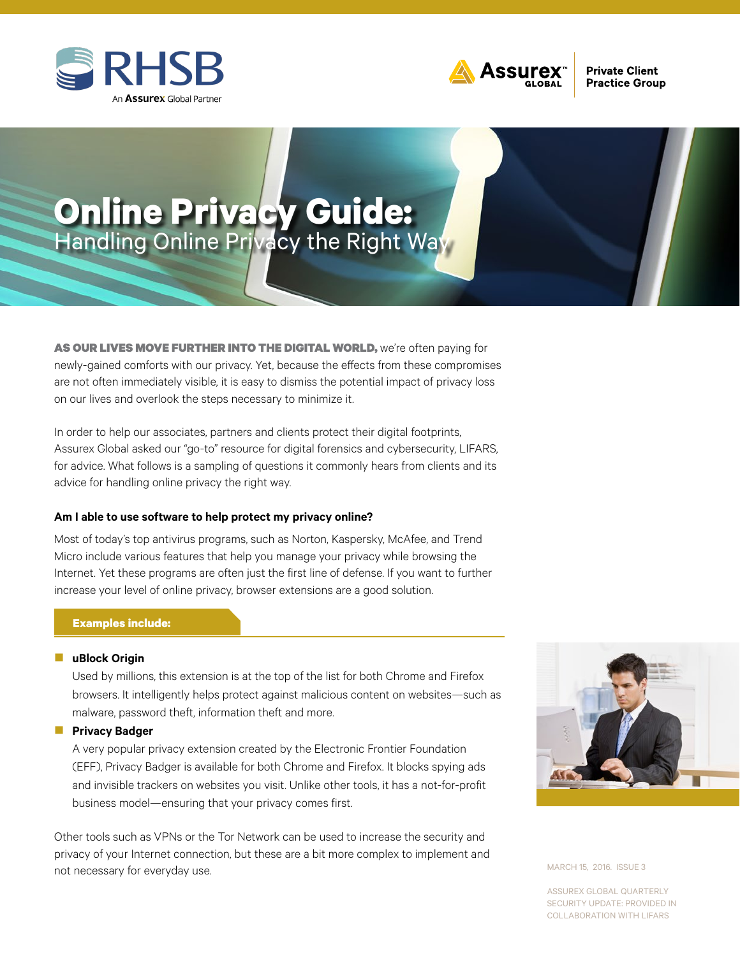



# **Online Privacy Guide:**  Handling Online Privacy the Right Way

AS OUR LIVES MOVE FURTHER INTO THE DIGITAL WORLD, we're often paying for newly-gained comforts with our privacy. Yet, because the effects from these compromises are not often immediately visible, it is easy to dismiss the potential impact of privacy loss on our lives and overlook the steps necessary to minimize it.

In order to help our associates, partners and clients protect their digital footprints, Assurex Global asked our "go-to" resource for digital forensics and cybersecurity, LIFARS, for advice. What follows is a sampling of questions it commonly hears from clients and its advice for handling online privacy the right way.

### **Am I able to use software to help protect my privacy online?**

Most of today's top antivirus programs, such as Norton, Kaspersky, McAfee, and Trend Micro include various features that help you manage your privacy while browsing the Internet. Yet these programs are often just the first line of defense. If you want to further increase your level of online privacy, browser extensions are a good solution.

### **Examples include:**

#### **n** [uBlock Origin](https://chrome.google.com/webstore/detail/ublock-origin/cjpalhdlnbpafiamejdnhcphjbkeiagm)

Used by millions, this extension is at the top of the list for both Chrome and Firefox browsers. It intelligently helps protect against malicious content on websites—such as malware, password theft, information theft and more.

#### **n** [Privacy Badger](https://www.eff.org/deeplinks/2015/08/privacy-badger-10-here-stop-online-tracking)

A very popular privacy extension created by the Electronic Frontier Foundation (EFF), Privacy Badger is available for both Chrome and Firefox. It blocks spying ads and invisible trackers on websites you visit. Unlike other tools, it has a not-for-profit business model—ensuring that your privacy comes first.

Other tools such as VPNs or the Tor Network can be used to increase the security and privacy of your Internet connection, but these are a bit more complex to implement and not necessary for everyday use.



MARCH 15, 2016. ISSUE 3

ASSUREX GLOBAL QUARTERLY SECURITY UPDATE: PROVIDED IN COLLABORATION WITH LIFARS